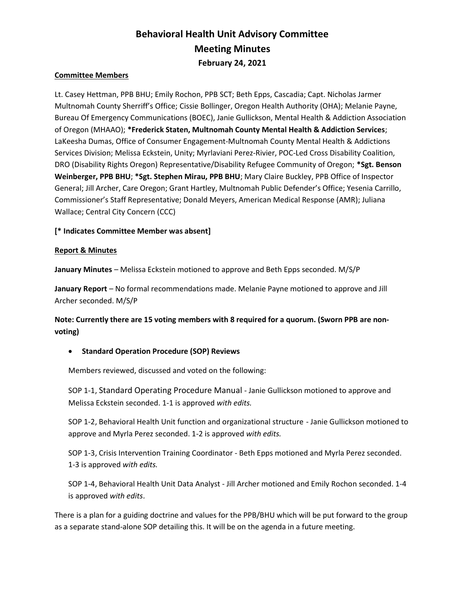# Behavioral Health Unit Advisory Committee Meeting Minutes February 24, 2021

## Committee Members

Lt. Casey Hettman, PPB BHU; Emily Rochon, PPB SCT; Beth Epps, Cascadia; Capt. Nicholas Jarmer Multnomah County Sherriff's Office; Cissie Bollinger, Oregon Health Authority (OHA); Melanie Payne, Bureau Of Emergency Communications (BOEC), Janie Gullickson, Mental Health & Addiction Association of Oregon (MHAAO); \*Frederick Staten, Multnomah County Mental Health & Addiction Services; LaKeesha Dumas, Office of Consumer Engagement-Multnomah County Mental Health & Addictions Services Division; Melissa Eckstein, Unity; Myrlaviani Perez-Rivier, POC-Led Cross Disability Coalition, DRO (Disability Rights Oregon) Representative/Disability Refugee Community of Oregon; \*Sgt. Benson Weinberger, PPB BHU; \*Sgt. Stephen Mirau, PPB BHU; Mary Claire Buckley, PPB Office of Inspector General; Jill Archer, Care Oregon; Grant Hartley, Multnomah Public Defender's Office; Yesenia Carrillo, Commissioner's Staff Representative; Donald Meyers, American Medical Response (AMR); Juliana Wallace; Central City Concern (CCC)

## [\* Indicates Committee Member was absent]

#### Report & Minutes

January Minutes – Melissa Eckstein motioned to approve and Beth Epps seconded. M/S/P

January Report - No formal recommendations made. Melanie Payne motioned to approve and Jill Archer seconded. M/S/P

Note: Currently there are 15 voting members with 8 required for a quorum. (Sworn PPB are nonvoting)

## **• Standard Operation Procedure (SOP) Reviews**

Members reviewed, discussed and voted on the following:

SOP 1-1, Standard Operating Procedure Manual - Janie Gullickson motioned to approve and Melissa Eckstein seconded. 1-1 is approved with edits.

SOP 1-2, Behavioral Health Unit function and organizational structure - Janie Gullickson motioned to approve and Myrla Perez seconded. 1-2 is approved with edits.

SOP 1-3, Crisis Intervention Training Coordinator - Beth Epps motioned and Myrla Perez seconded. 1-3 is approved with edits.

SOP 1-4, Behavioral Health Unit Data Analyst - Jill Archer motioned and Emily Rochon seconded. 1-4 is approved with edits.

There is a plan for a guiding doctrine and values for the PPB/BHU which will be put forward to the group as a separate stand-alone SOP detailing this. It will be on the agenda in a future meeting.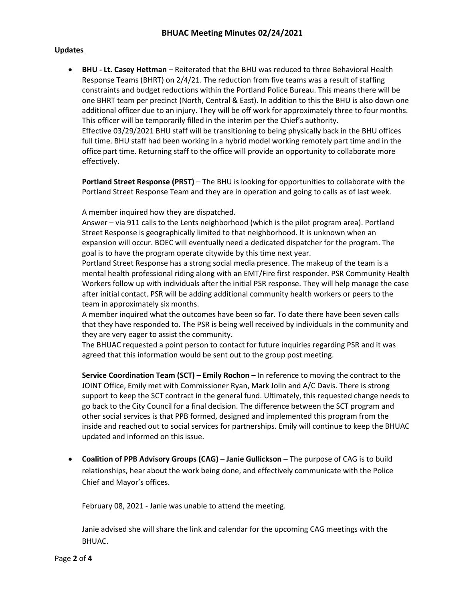### **Updates**

• BHU - Lt. Casey Hettman – Reiterated that the BHU was reduced to three Behavioral Health Response Teams (BHRT) on 2/4/21. The reduction from five teams was a result of staffing constraints and budget reductions within the Portland Police Bureau. This means there will be one BHRT team per precinct (North, Central & East). In addition to this the BHU is also down one additional officer due to an injury. They will be off work for approximately three to four months. This officer will be temporarily filled in the interim per the Chief's authority. Effective 03/29/2021 BHU staff will be transitioning to being physically back in the BHU offices full time. BHU staff had been working in a hybrid model working remotely part time and in the office part time. Returning staff to the office will provide an opportunity to collaborate more

effectively.

Portland Street Response (PRST) – The BHU is looking for opportunities to collaborate with the Portland Street Response Team and they are in operation and going to calls as of last week.

A member inquired how they are dispatched.

Answer – via 911 calls to the Lents neighborhood (which is the pilot program area). Portland Street Response is geographically limited to that neighborhood. It is unknown when an expansion will occur. BOEC will eventually need a dedicated dispatcher for the program. The goal is to have the program operate citywide by this time next year.

Portland Street Response has a strong social media presence. The makeup of the team is a mental health professional riding along with an EMT/Fire first responder. PSR Community Health Workers follow up with individuals after the initial PSR response. They will help manage the case after initial contact. PSR will be adding additional community health workers or peers to the team in approximately six months.

A member inquired what the outcomes have been so far. To date there have been seven calls that they have responded to. The PSR is being well received by individuals in the community and they are very eager to assist the community.

The BHUAC requested a point person to contact for future inquiries regarding PSR and it was agreed that this information would be sent out to the group post meeting.

Service Coordination Team (SCT) – Emily Rochon – In reference to moving the contract to the JOINT Office, Emily met with Commissioner Ryan, Mark Jolin and A/C Davis. There is strong support to keep the SCT contract in the general fund. Ultimately, this requested change needs to go back to the City Council for a final decision. The difference between the SCT program and other social services is that PPB formed, designed and implemented this program from the inside and reached out to social services for partnerships. Emily will continue to keep the BHUAC updated and informed on this issue.

 Coalition of PPB Advisory Groups (CAG) – Janie Gullickson – The purpose of CAG is to build relationships, hear about the work being done, and effectively communicate with the Police Chief and Mayor's offices.

February 08, 2021 - Janie was unable to attend the meeting.

Janie advised she will share the link and calendar for the upcoming CAG meetings with the BHUAC.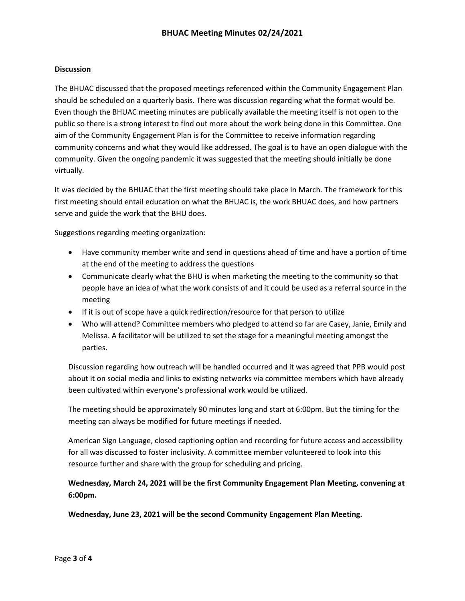## **Discussion**

The BHUAC discussed that the proposed meetings referenced within the Community Engagement Plan should be scheduled on a quarterly basis. There was discussion regarding what the format would be. Even though the BHUAC meeting minutes are publically available the meeting itself is not open to the public so there is a strong interest to find out more about the work being done in this Committee. One aim of the Community Engagement Plan is for the Committee to receive information regarding community concerns and what they would like addressed. The goal is to have an open dialogue with the community. Given the ongoing pandemic it was suggested that the meeting should initially be done virtually.

It was decided by the BHUAC that the first meeting should take place in March. The framework for this first meeting should entail education on what the BHUAC is, the work BHUAC does, and how partners serve and guide the work that the BHU does.

Suggestions regarding meeting organization:

- Have community member write and send in questions ahead of time and have a portion of time at the end of the meeting to address the questions
- Communicate clearly what the BHU is when marketing the meeting to the community so that people have an idea of what the work consists of and it could be used as a referral source in the meeting
- If it is out of scope have a quick redirection/resource for that person to utilize
- Who will attend? Committee members who pledged to attend so far are Casey, Janie, Emily and Melissa. A facilitator will be utilized to set the stage for a meaningful meeting amongst the parties.

Discussion regarding how outreach will be handled occurred and it was agreed that PPB would post about it on social media and links to existing networks via committee members which have already been cultivated within everyone's professional work would be utilized.

The meeting should be approximately 90 minutes long and start at 6:00pm. But the timing for the meeting can always be modified for future meetings if needed.

American Sign Language, closed captioning option and recording for future access and accessibility for all was discussed to foster inclusivity. A committee member volunteered to look into this resource further and share with the group for scheduling and pricing.

Wednesday, March 24, 2021 will be the first Community Engagement Plan Meeting, convening at 6:00pm.

Wednesday, June 23, 2021 will be the second Community Engagement Plan Meeting.